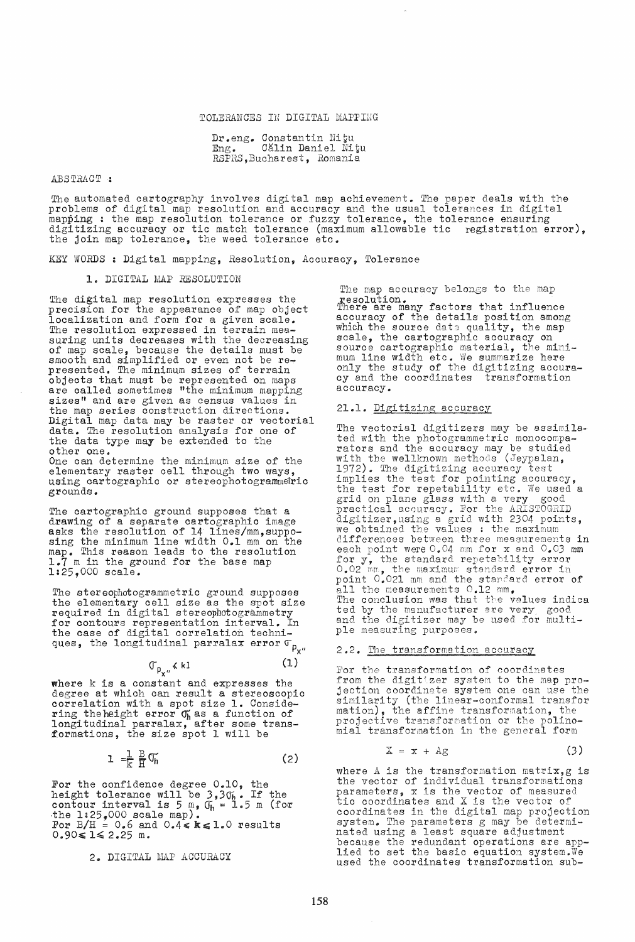## TOLERANCES IN DIGITAL MAPPING

Dr.eng. Constantin Nitu<br>Eng. Călin Daniel Ni Călin Daniel Nițu RSPRS.Bucharest. Romania

#### ABSTRACT:

The automated cartography involves digital map achievement. The paper deals with the problems of digital map resolution and accuracy and the usual tolerances in digital mapping : the map resolution tolerance or fuzzy tolerance, the tolerance ensuring digitizing accuracy or tic match tolerance (maximum allowable tic registration error), the join map tolerance, the weed tolerance etc.

KEY WORDS: Digital mapping, Resolution, Accuracy, Tolerance

#### 1. DIGITAL MAP RESOLUTION

The digital map resolution expresses the precision for the appearance of map object localization and form for a given scale. The resolution expressed in terrain measuring units decreases with the decreasing of map scale, because the details must be smooth and simplified or even not be represented. The minimum sizes of terrain objects that must be represented on maps are called sometimes "the minimum mapping sizes" and are given as census values in the map series construction directions. Digital map data may be raster or vectorial data. The resolution analysis for one of the data type may be extended to the other one. One can determine the minimum size of the

elementary raster cell through two ways, using cartographic or stereophotogrammetric grounds.

The cartographic ground supposes that a drawing of a separate cartographic image asks the resolution of 14 lines/mm, supposing the minimum line width 0.1 mm on the map. This reason leads to the resolution 1.7 m in the ground for the base map 1:25,000 scale.

The stereophotogrammetric ground supposes the elementary cell size as the spot size required in digital stereophotogrammetry for contours representation interval. In the case of digital correlation techniques, the longitudinal parralax error  $\sigma_{\rho_{X''}}$ 

$$
\mathbb{G}_{p_{\mathsf{v}},\mathsf{u}} \leq k \mathbf{1} \tag{1}
$$

where k is a constant and expresses the degree at which can result a stereoscopic correlation with a *spot* size 1. Considering the height error  $\sigma_h$  as a function of longitudinal parralax, after some trans formations, the size spot 1 will be

$$
1 = \frac{1}{k} \frac{B}{H} \mathbb{G}_h
$$
 (2)

For the confidence degree  $0.10$ , the height tolerance will be  $3.3\sigma_{h}$ . If the contour interval is  $5 \text{ m}$ ,  $0_h = 1.5 \text{ m}$  (for the 1:25,000 scale map). For  $B/H = 0.6$  and  $0.4 \leq k \leq 1.0$  results  $0.90 \leq 1 \leq 2.25$  m.

2. DIGITAL MAP ACCURACY

The *map* accuracy belongs to the map resolution. There are many factors that influence accuracy of the details position among<br>which the source dats quality, the map scale, the cartographic accuracy on source cartographic material, the minimum line width etc. We summarize here only the study of the digitizing accuracy and the coordinates transformation accuracy ..

## 21.1. Digitizing accuracy

The vectorial digitizers may be assimilated with the photogrammetric monocomparators and the accuracy may be studied with the wellknown methods (Jeypalan, 1972). The digitizing accuracy test implies the test for pointing accuracy, the test for repetability etc. We used a grid on plane glass with a very good practical accuracy. For the ARISTOGRID digitizer,using a grid with 2304 points, we obtained the values : the maximum differences between three measurements in each point were 0.04 mm for x and 0.03 mm for y, the standard repetability error 0.02 mm, the maximum standard error in point 0.021 mm and the standard error of all the messurements 0.12 mm, The conclusion was that the values indica ted by the manufacturer are very good and the digitizer may be used for multiple measuring purposes.

#### 2.2. The transformation accuracy

For the transformation of coordinates from the digitizer system to the map projection coordinate system one can use the similarity (the linear-conformal transfor mation), the affine transformation, the projective transformation or the polinomial transformation in the general form

$$
X = x + Ag \tag{3}
$$

where A is the transformation matrix,  $g$  is the vector of individual transformations parameters, x is the vector of measured tic coordinates and X is the vector of coordinates in the digital map projection system. The parameters g may be determi-nated using a least square adjustment because the redundant operations are applied to set the basic equation system.We used the coordinates transformation sub